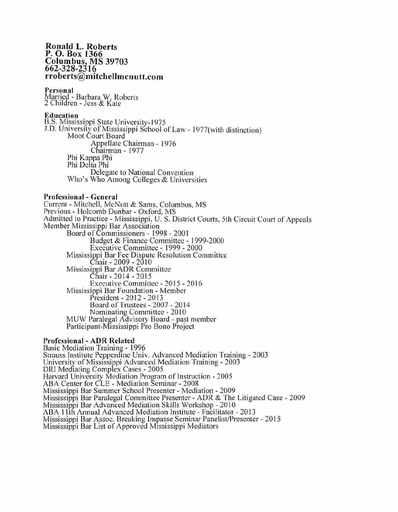### **Ronald L. Roberts P. 0 . Box 1366 Columbus, MS 39703 662-328-2.,16 rroberts@mitchellmcnutt.com**

## **Personal**

Married - Barbara W. Roberts 2 Children - Jess & Kale

#### **Education**

B.S. Mississippi State University-1975 J.D. University of Mississippi School of Law - 1977(with distinction). Moot Court Board Appellate Chairman - 1976 Chairman - 1977 Phi Kappa Phi Phi Delta Phi Delegate to National Convention \Vho·s Who Among Colleges & Universities

## **Professional - General**

Current - Mitchell. McNult & Sams, Columbus. MS Previous - Holcomb Dunbar - Oxford, MS Admitted to Practice - Mississippi, U. S. District Courts, 5th Circuit Court of Appeals Member Mississippi Bar Association Board of Commissioners - 1998 - 200 I Budget & Finance Committee - 1999-2000 Executive Committee - 1999 - 2000 Mississippi Bar Fee Dispute Resolution Committee. Chair - 2009 - 2010 Mississippi Bar ADR Committee Chair - 2014 - 2015 Executive Committee - 2015 - 2016 Mississippi Bar Foundation - Member President - 20 12 - 20 13 Board of Trustees - 2007 - 2014 Nominating Committee - 2010 MUW Paralegal Advisory Board - past member Participant-Mississippi Pro Bono Project

#### **Professional - ADR Related**

Basic Mediation Training - 1996 Strauss Institute Pepperdine Univ. Advanced Mediation Training - 2003 University of Mississippi Advanced Mediation Training - 2003 DRI Mediating Complex Cases - 2005 Harvard University Mediation Program of Instruction - 2005 ABA Center for CLE - Mediation Seminar - 2008 Mississippi Bar Summer School Presenter - Mediation - 2009 Mississippi Bar Paralegal Committee Presenter - ADR & The Litigated Case - 2009 Mississippi Bar Advanced Mediation Skills Workshop - 2010 ABA 11th Annual Advanced Mediation Institute - Facilitator - 2013 Mississippi Bar Assoc. Breaking Impasse Seminar Panelist/Presenter - 2015 Mississippi Bar List of Approved Mississippi Mediators